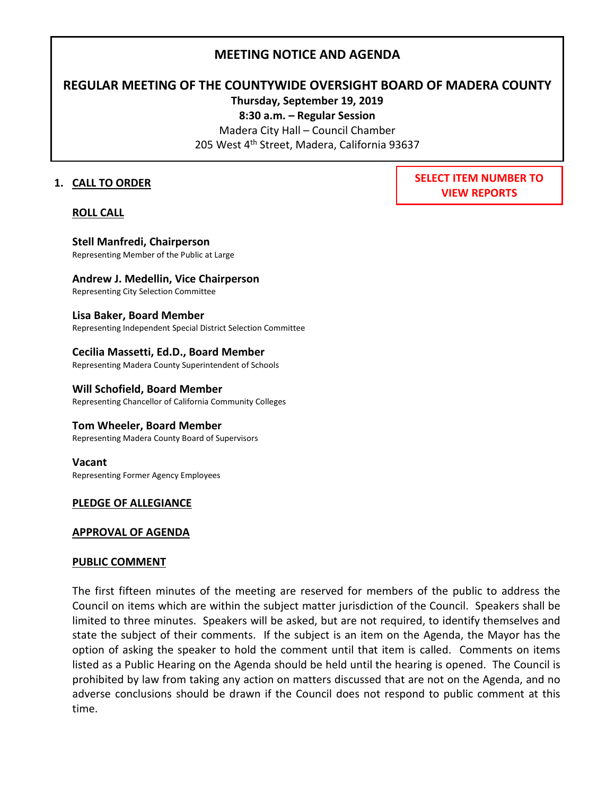# **MEETING NOTICE AND AGENDA**

## **REGULAR MEETING OF THE COUNTYWIDE OVERSIGHT BOARD OF MADERA COUNTY**

**Thursday, September 19, 2019**

**8:30 a.m. – Regular Session** Madera City Hall – Council Chamber

205 West 4<sup>th</sup> Street, Madera, California 93637

### **1. CALL TO ORDER**

### **ROLL CALL**

**SELECT ITEM NUMBER TO VIEW REPORTS**

### **Stell Manfredi, Chairperson** Representing Member of the Public at Large

**Andrew J. Medellin, Vice Chairperson** Representing City Selection Committee

### **Lisa Baker, Board Member**

Representing Independent Special District Selection Committee

# **Cecilia Massetti, Ed.D., Board Member**

Representing Madera County Superintendent of Schools

# **Will Schofield, Board Member**

Representing Chancellor of California Community Colleges

### **Tom Wheeler, Board Member**

Representing Madera County Board of Supervisors

### **Vacant** Representing Former Agency Employees

### **PLEDGE OF ALLEGIANCE**

### **APPROVAL OF AGENDA**

### **PUBLIC COMMENT**

The first fifteen minutes of the meeting are reserved for members of the public to address the Council on items which are within the subject matter jurisdiction of the Council. Speakers shall be limited to three minutes. Speakers will be asked, but are not required, to identify themselves and state the subject of their comments. If the subject is an item on the Agenda, the Mayor has the option of asking the speaker to hold the comment until that item is called. Comments on items listed as a Public Hearing on the Agenda should be held until the hearing is opened. The Council is prohibited by law from taking any action on matters discussed that are not on the Agenda, and no adverse conclusions should be drawn if the Council does not respond to public comment at this time.